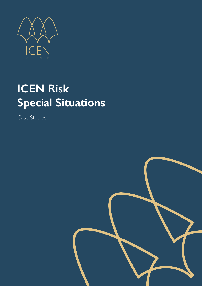

# **ICEN Risk Special Situations**

Case Studies

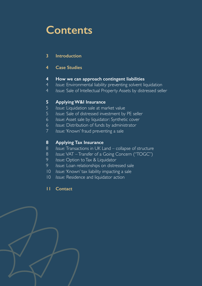# **Contents**

# **Introduction**

# **Case Studies**

# **How we can approach contingent liabilities**

- *Issue:* Environmental liability preventing solvent liquidation
- *Issue:* Sale of Intellectual Property Assets by distressed seller

# **Applying W&I Insurance**

- *Issue:* Liquidation sale at market value
- *Issue:* Sale of distressed investment by PE seller
- *Issue:* Asset sale by liquidator: Synthetic cover
- *Issue:* Distribution of funds by administrator
- *Issue:* 'Known' fraud preventing a sale

# **Applying Tax Insurance**

- *Issue:* Transactions in UK Land collapse of structure
- *Issue:* VAT Transfer of a Going Concern ("TOGC")
- *Issue:* Option to Tax & Liquidator
- *Issue:* Loan relationships on distressed sale
- *Issue:* 'Known' tax liability impacting a sale
- *Issue:* Residence and liquidator action
- **Contact**

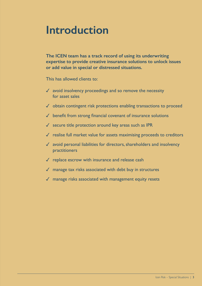# **Introduction**

**The ICEN team has a track record of using its underwriting expertise to provide creative insurance solutions to unlock issues or add value in special or distressed situations.**

This has allowed clients to:

- $\sqrt{\phantom{a}}$  avoid insolvency proceedings and so remove the necessity for asset sales
- $\checkmark$  obtain contingent risk protections enabling transactions to proceed
- ✓ benefit from strong financial covenant of insurance solutions
- $\checkmark$  secure title protection around key areas such as IPR
- ✓ realise full market value for assets maximising proceeds to creditors
- ✓ avoid personal liabilities for directors, shareholders and insolvency practitioners
- $\checkmark$  replace escrow with insurance and release cash
- $\sqrt{\ }$  manage tax risks associated with debt buy in structures
- ✓ manage risks associated with management equity resets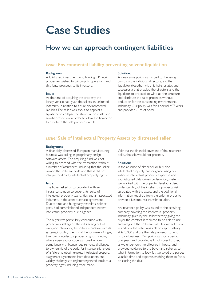# **Case Studies**

# **How we can approach contingent liabilities**

# *Issue:* **Environmental liability preventing solvent liquidation**

#### **Background:**

A UK-based investment fund holding UK retail properties wished to wind-up its operations and distribute proceeds to its investors.

#### **Issue:**

At the time of acquiring the property, the Jersey vehicle had given the sellers an unlimited indemnity in relation to future environmental liabilities. The seller was about to appoint a liquidator to collapse the structure post sale and sought protection in order to allow the liquidator to distribute the sale proceeds in full.

#### **Solution:**

An insurance policy was issued to the Jersey company, the individual directors, and the liquidator (together with, his heirs, estates and successors) that enabled the directors and the liquidator to proceed to wind up the structure and distribute the sales proceeds without deduction for the outstanding environmental indemnity. Our policy was for a period of 7 years and provided £1m of cover.

### *Issue:* **Sale of Intellectual Property Assets by distressed seller**

#### **Background:**

A financially distressed, European manufacturing business was selling its proprietary design software assets. The acquiring fund was not willing to proceed with the transaction without a number of assurances, including that the seller owned the software code and that it did not infringe third party intellectual property rights.

#### **Issue:**

The buyer asked us to provide it with an insurance solution to cover a full suite of intellectual property warranties and an associated indemnity in the asset purchase agreement. Due to time and budgetary restraints, neither party had commissioned independent expert intellectual property due diligence.

The buyer was particularly concerned with protecting itself against the risks arising out of using and integrating the software package with its systems, including: the risk of the software infringing third party intellectual property rights, including where open source code was used in noncompliance with license requirements; challenges to ownership of the code, for instance arising out of a failure to obtain express intellectual property assignment agreements from developers, and validity challenges to registered/granted intellectual property rights, including trade marks.

Without the financial covenant of the insurance policy, the sale would not proceed.

#### **Solution:**

In the absence of either sell or buy side intellectual property due diligence, using our in-house intellectual property expertise and sophisticated data driven underwriting systems, we worked with the buyer to develop a deep understanding of the intellectual property risks associated with the assets and the additional information required from the seller in order to provide a fulsome risk transfer solution.

An insurance policy was issued to the acquiring company, covering the intellectual property indemnity given by the seller thereby giving the buyer the comfort it required to be able to use and integrate the software with its own solutions. In addition, the seller was able to cap its liability at €25,000 and use the sale proceeds to fund its core business. Our policy was for a period of 6 years and provided €3m of cover. Further, as we undertook the diligence in-house, and provided guidance to the buyer and seller as to what information to look for, we saved the parties valuable time and expense, enabling them to focus on closing the deal.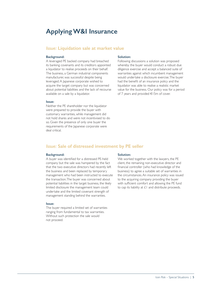# **Applying W&I Insurance**

### *Issue:* **Liquidation sale at market value**

#### **Background:**

**Solution:**

A leveraged PE backed company had breached its banking covenants and its creditors appointed a liquidator to realise proceeds on their behalf. The business, a German industrial components manufacturer, was successful despite being leveraged. A Japanese corporate wished to acquire the target company but was concerned about potential liabilities and the lack of recourse available on a sale by a liquidator.

#### **Issue:**

Neither the PE shareholder nor the liquidator were prepared to provide the buyer with customary warranties, while management did not hold shares and were not incentivised to do so. Given the presence of only one buyer the requirements of the Japanese corporate were deal critical.

#### Following discussions a solution was proposed whereby the buyer would conduct a robust due diligence exercise and accept a balanced suite of warranties against which incumbent management would undertake a disclosure exercise. The buyer had the benefit of an insurance policy and the liquidator was able to realise a realistic market value for the business. Our policy was for a period of 7 years and provided €15m of cover.

## *Issue:* **Sale of distressed investment by PE seller**

#### **Background:**

A buyer was identified for a distressed PE-held company but the sale was hampered by the fact that the two executive directors had recently left the business and been replaced by temporary management who had been instructed to execute the transaction. The buyer was concerned about potential liabilities in the target business, the likely limited disclosure the management team could undertake and the limited covenant strength of management standing behind the warranties.

#### **Issue:**

The buyer required a limited set of warranties ranging from fundamental to tax warranties. Without such protection the sale would not proceed.

#### **Solution:**

We worked together with the lawyers, the PE client, the remaining non-executive director and financial controller (who had knowledge of the business) to agree a suitable set of warranties in the circumstances. An insurance policy was issued to the acquiring company providing the buyer with sufficient comfort and allowing the PE fund to cap its liability at  $£1$  and distribute proceeds.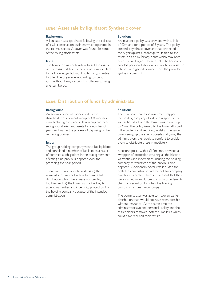# *Issue:* **Asset sale by liquidator: Synthetic cover**

#### **Background:**

A liquidator was appointed following the collapse of a UK construction business which operated in the railway sector. A buyer was found for some of the rolling stock assets.

#### **Issue:**

The liquidator was only willing to sell the assets on the basis that title to those assets was limited to his knowledge, but would offer no guarantee to title. The buyer was not willing to spend £2m without being certain that title was passing unencumbered.

#### **Solution:**

An insurance policy was provided with a limit of £2m and for a period of 5 years. The policy created a synthetic covenant that protected the buyer against a challenge to its title to the assets, or a claim for any debts which may have been secured against those assets. The liquidator avoided personal liability whilst facilitating a sale to a buyer who gained comfort from the provided synthetic covenant.

## *Issue:* **Distribution of funds by administrator**

#### **Background:**

An administrator was appointed by the shareholder of a solvent group of UK industrial manufacturing companies. This group had been selling subsidiaries and assets for a number of years and was in the process of disposing of the remaining business.

#### **Issue:**

The group holding company was to be liquidated and contained a number of liabilities as a result of contractual obligations in the sale agreements effecting nine previous disposals over the preceding five year period.

There were two issues to address: (i) the administrator was not willing to make a full distribution whilst there were outstanding liabilities and (ii) the buyer was not willing to accept warranties and indemnity protection from the holding company because of the intended administration.

#### **Solution:**

The new share purchase agreement capped the holding company's liability in respect of the warranties at £1 and the buyer was insured up to £5m. The policy issued to the buyer afforded it the protection it required, whilst at the same time freeing up the sale proceeds and giving the administrators the requisite comfort to enable them to distribute these immediately.

A second policy, with a £10m limit, provided a 'wrapper' of protection covering all the historic warranties and indemnities, insuring the holding company as warrantor of the previous nine disposals. Additionally, cover was included for both the administrator and the holding company directors, to protect them in the event that they were named in any future warranty or indemnity claim (a precaution for when the holding company had been wound-up).

The administrator was able to make an earlier distribution than would not have been possible without insurance. At the same time the administrator avoided personal liability and the shareholders removed potential liabilities which could have reduced their return.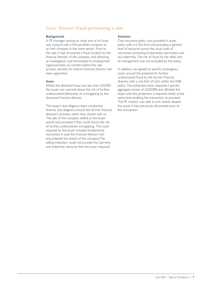## *Issue:* **'Known' fraud preventing a sale**

#### **Background:**

A PE manager looking to close one of its funds was trying to sell a final portfolio company to an Irish company in the same sector. Prior to the sale, it had uncovered a fraud incident by the financial director of the company and, following an investigation, had terminated his employment (approximately six months before the sale process started). An interim financial director had been appointed.

#### **Issue:**

Whilst the detected fraud was less than £50,000 the buyer was worried about the risk of further, undiscovered dishonesty or wrongdoing by the dismissed financial director.

The buyer's due diligence team conducted forensic due diligence around the former financial director's activities, which they shared with us. The sale of the company stalled as the buyer would only proceed if they could insure the risk of further, undiscovered wrongdoing. The cover required by the buyer included fundamental warranties in case the financial director had encumbered the shares of the company. The selling institution could not provide the warranty and indemnity recourse that the buyer required.

#### **Solution:**

One insurance policy was provided: A buyer policy, with a £10m limit and providing a general level of recourse across the usual suite of warranties (including fundamental warranties) and tax indemnity. The risk of fraud by the seller and its management was not excluded by the policy.

In addition, we agreed to specific contingency cover around the potential for further undiscovered fraud by the former financial director, with a sub-limit of £2m within the W&I policy. This enhanced cover required a specific, aggregate excess of £250,000 and afforded the buyer with the protection it required, whilst at the same time enabling the transaction to proceed. The PE investor was able to exit cleanly despite the issues it had previously discovered prior to the transaction.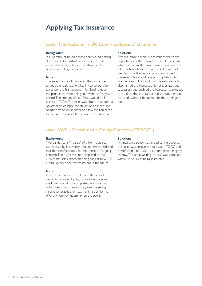# **Applying Tax Insurance**

### *Issue:* **Transactions in UK Land – collapse of structure**

#### **Background:**

A Luxembourg-based private equity fund holding distressed UK industrial properties received an unsolicited offer to buy the shares in the property-holding companies.

#### **Issue:**

The seller's accountants raised the risk of the target potentially facing a liability to corporation tax under the Transactions in UK land rules as the properties were being sold within a five-year period. The amount of tax, if due, would be in excess of £30m. The seller was about to appoint a liquidator to collapse the structure post-sale and sought protection in order to allow the liquidator to feel free to distribute the sale proceeds in full.

#### **Solution:**

Two insurance policies were issued: one to the buyer to cover the Transactions in UK Land risk which was a risk the buyer was not prepared to take, particularly as it knew the seller was not creditworthy. The second policy was issued to the seller who would face primary liability to Transactions in UK Land risk. The sell-side policy also named the liquidator, his heirs, estates and successors and enabled the liquidator to proceed to wind up the structure and distribute the sales proceeds without deduction for the contingent tax.

# *Issue:* **VAT – Transfer of a Going Concern ("TOGC")**

#### **Background:**

Two parties to a "fire sale" of a high-value real estate asset by insolvency practitioners considered that the transfer should be the transfer of a going concern. The buyer was not prepared to risk 20% of the sales proceeds being subject to VAT if HMRC queried the tax treatment in the future.

#### **Issue:**

Due to the rules on TOGCs and the lack of certainty provided by legal advice on the point, the buyer would not complete the transaction without escrow or insurance given the selling insolvency practitioner was not in a position to offer any form of indemnity on the point.

#### **Solution:**

An insurance policy was issued to the buyer as the seller was certain the sale was a TOGC and therefore did not wish to contemplate a lengthy escrow. The underwriting process was complete within 48 hours of being instructed.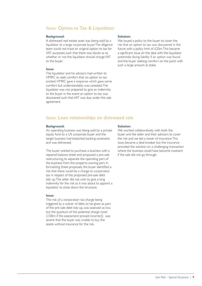# *Issue:* **Option to Tax & Liquidator**

#### **Background:**

A distressed real estate asset was being sold by a liquidator to a large corporate buyer. The diligence team could not trace an original option to tax for VAT purposes such that there was doubt as to whether or not the liquidator should charge VAT to the buyer.

#### **Issue:**

The liquidator and his advisors had written to HMRC to seek comfort that no option to tax existed. HMRC gave a response which gave some comfort but understandably was caveated. The liquidator was not prepared to give an indemnity to the buyer in the event an option to tax was discovered such that VAT was due under the sale agreement.

#### **Solution:**

We issued a policy to the buyer to cover the risk that an option to tax was discovered in the future with a policy limit of £20m. This became a significant issue on the deal with the liquidator potentially facing liability if an option was found and the buyer seeking comfort on the point with such a large amount at stake.

## *Issue:* **Loan relationships on distressed sale**

#### **Background:**

An operating business was being sold by a private equity fund to a US corporate buyer and the target business had breached banking covenants and was distressed.

The buyer wished to purchase a business with a repaired balance sheet and proposed a pre-sale restructuring, to separate the operating part of the business from the property-owning part. In formalising these proposals, the buyer identified a risk that there could be a charge to corporation tax in respect of the proposed pre-sale debt tidy up. The seller did not wish to give a long indemnity for the risk as it was about to appoint a liquidator to close down the structure.

#### **Issue:**

The risk of a corporation tax charge being triggered by a waiver of debt, to be given as part of the pre-sale debt tidy-up, was assessed as low, but the quantum of the potential charge (over £100m if the assessment proved incorrect) was severe that the buyer was unable to buy the assets without insurance for the risk.

#### **Solution:**

We worked collaboratively with both the buyer and the seller and their advisors to cover the risk and we led a tower of insurance. This issue became a deal-breaker but the insurance provided the solution on a challenging transaction where the business could have become insolvent if the sale did not go through.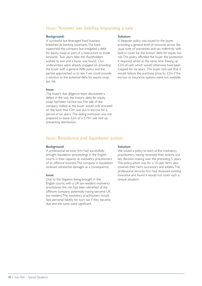# *Issue:* **'Known' tax liability impacting a sale**

#### **Background:**

A successful but leveraged food business breached its banking covenants. The bank supported the company but instigated a debt for equity swap as part of a restructure to trade forwards. Two years later, the shareholders wished to exit and a buyer was found. Our underwriters were already engaged on providing the buyer with a general W&I policy and the parties approached us to see if we could provide a solution to the potential debt for equity swap tax risk.

#### **Issue:**

The buyer's due diligence team discovered a defect in the way the historic debt for equity swap had been carried out. The sale of the company stalled as the buyer would only proceed on the basis that £2m was put in escrow for a period of six years. The selling institution was not prepared to leave £2m of a £19m sale tied up, preventing distribution.

#### **Solution:**

A bespoke policy was issued to the buyer, providing a general level of recourse across the usual suite of warranties and tax indemnity with built-in cover for the 'known' debt for equity tax risk. This policy afforded the buyer the protection it required, whilst at the same time freeing up £2m of cash which would otherwise have been trapped for six years. The buyer had said that it would reduce the purchase price by £2m if the escrow or insurance options were not available.

#### *Issue:* **Residence and liquidator action**

#### **Background:**

A professional services firm had successfully brought liquidation proceedings in the English courts in their capacity as insolvency practitioners of an offshore business The company in liquidation received substantial damages as a consequence.

#### **Issue:**

Due to the litigation being brought in the English courts, with a UK tax-resident insolvency practitioner, the risk had been identified of the offshore company potentially having become UK tax-resident. The insolvency practitioners would face personal liability for such tax if they became due and the sums were significant.

#### **Solution:**

We issued a policy to each of the insolvency practitioners, having reviewed their actions and key decision-making over the preceding 5 years. The policy, which was for a 10-year term, also covered their heirs, successors and estates. The professional services firm had reviewed existing insurance and found it would not cover such a unique situation.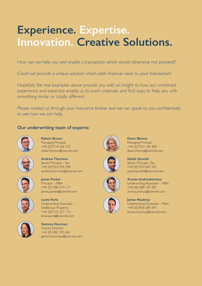# **Experience. Expertise. Innovation. Creative Solutions.**

How can we help you and enable a transaction which would otherwise not proceed?

Could we provide a unique solution which adds financial value to your transaction?

Hopefully the real examples above provide you with an insight to how our combined experience and expertise enable us to work creatively and find ways to help you with something similar or totally different.

Please contact us through your insurance broker and we can speak to you confidentially to see how we can help.

# **Our underwriting team of experts:**



**Robert Brown** Managing Principal +44 (0)7718 306 372 robert.brown@icenrisk.com



**Andrew Thornton** Senior Principal – Tax +44 (0)7553 945 298

andrew.thornton@icenrisk.com



**Dawn Bhoma** Managing Principal +44 (0)7554 196 900 dawn.bhoma@icenrisk.com



Senior Principal - Tax +44 (0)7423 607 507 suhail.qureshi@icenrisk.com



**James Parker** Principal – M&A +44 (0)7388 574 117 james.parker@icenrisk.com



**Lewis Parle** Underwriting Associate – Intellectual Property +44 (0)7776 327 172 lewis.parle@icenrisk.com



**Gemma Hourican** Finance Director +44 (0)7407 393 461 gemma.hourican@icenrisk.com



**Arunas Andriuskevicius** Underwriting Associate – M&A +44 (0)7388 104 287 arunas.andrius@icenrisk.com

#### **James Moubray** Underwriting Associate – M&A +44 (0)7876 689 697 james.moubray@icenrisk.com